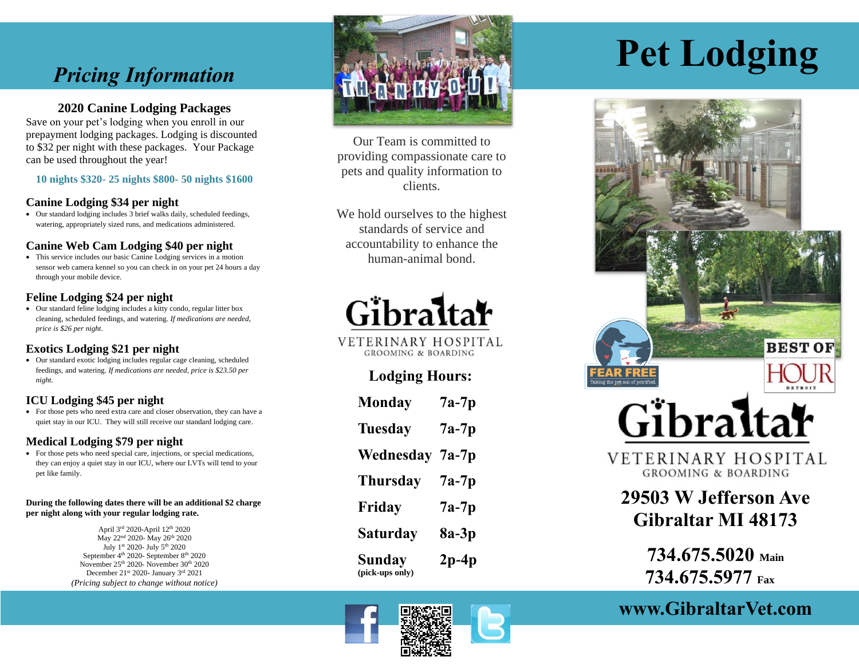# *Pricing Information*

# **2020 Canine Lodging Packages**

Save on your pet's lodging when you enroll in our prepayment lodging packages. Lodging is discounted to \$32 per night with these packages. Your Package can be used throughout the year!

**10 nights \$320 - 25 nights \$800 - 50 nights \$1600**

#### **Canine Lodging \$34 per night**

• Our standard lodging includes 3 brief walks daily, scheduled feedings, watering, appropriately sized runs, and medications administered.

#### **Canine Web Cam Lodging \$40 per night**

• This service includes our basic Canine Lodging services in a motion sensor web camera kennel so you can check in on your pet 24 hours a day through your mobile device.

# **Feline Lodging \$2 4 per night**

• Our standard feline lodging includes a kitty condo, regular litter box cleaning, scheduled feedings, and watering . *If medications are needed, price is \$2 6 per night*.

# **Exotics Lodging \$21 per night**

• Our standard exotic lodging includes regular cage cleaning, scheduled feedings, and watering . *If medications are needed, price is \$23.50 per night.* 

# **ICU Lodging \$45 per night**

• For those pets who need extra care and closer observation, they can have a quiet stay in our ICU. They will still receive our standard lodging care.

# **Medical Lodging \$79 per night**

• For those pets who need special care, injections, or special medications, they can enjoy a quiet stay in our ICU , where our LVTs will tend to your pet like family.

#### **During the following dates there will be an additional \$2 charge per night along with your regular lodging rate.**

April 3rd 2020-April 12th 2020 May 22<sup>nd</sup> 2020- May 26<sup>th</sup> 2020 July 1st 2020- July 5<sup>th</sup> 2020 September 4<sup>th</sup> 2020- September 8<sup>th</sup> 2020 November 25<sup>th</sup> 2020- November 30<sup>th</sup> 2020 December 21st 2020- January 3rd 2021 *(Pricing subject to change without notice)*



Our Team is committed to providing compassionate care to pets and quality information to clients.

We hold ourselves to the highest standards of service and accountability to enhance the human -animal bond.



VETERINARY HOSPITAL **GROOMING & BOARDING** 

# **Lodging Hours:**

| Monday                           | $7a-7p$ |
|----------------------------------|---------|
| <b>Tuesday</b>                   | 7a-7p   |
| Wednesday                        | 7a-7p   |
| <b>Thursday</b>                  | 7a-7p   |
| Friday                           | 7a-7p   |
| Saturday                         | 8a-3p   |
| <b>Sunday</b><br>(pick-ups only) | 2p-4p   |



# **Pet Lodging**



**734.675.5020 Main 734 .675 .5977 Fax**

**www.GibraltarVet.com**